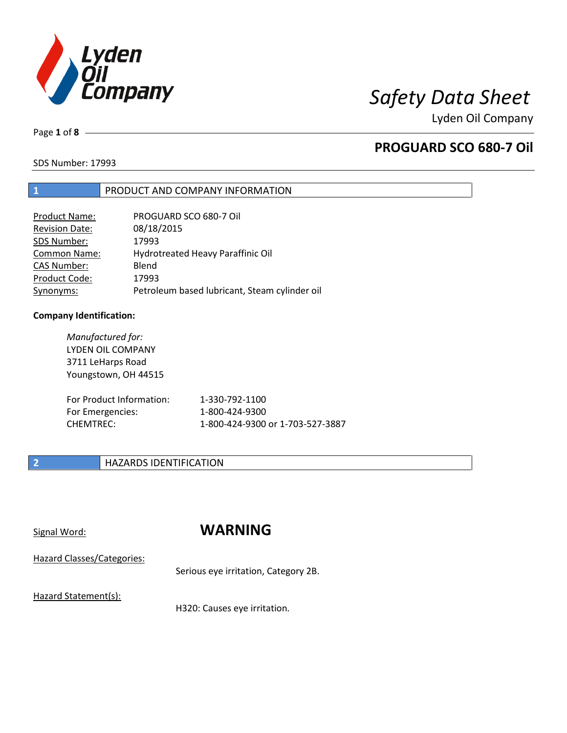

Page **1** of **8**

## **PROGUARD SCO 680-7 Oil**

SDS Number: 17993

## **1** PRODUCT AND COMPANY INFORMATION

| Product Name:         | PROGUARD SCO 680-7 Oil                        |
|-----------------------|-----------------------------------------------|
| <b>Revision Date:</b> | 08/18/2015                                    |
| SDS Number:           | 17993                                         |
| <b>Common Name:</b>   | Hydrotreated Heavy Paraffinic Oil             |
| <b>CAS Number:</b>    | Blend                                         |
| Product Code:         | 17993                                         |
| Synonyms:             | Petroleum based lubricant, Steam cylinder oil |

### **Company Identification:**

*Manufactured for:* LYDEN OIL COMPANY 3711 LeHarps Road Youngstown, OH 44515

| For Product Information: | 1-330-792-1100                   |
|--------------------------|----------------------------------|
| For Emergencies:         | 1-800-424-9300                   |
| CHEMTREC:                | 1-800-424-9300 or 1-703-527-3887 |

## **2 HAZARDS IDENTIFICATION**

## Signal Word: **WARNING**

Hazard Classes/Categories:

Serious eye irritation, Category 2B.

Hazard Statement(s):

H320: Causes eye irritation.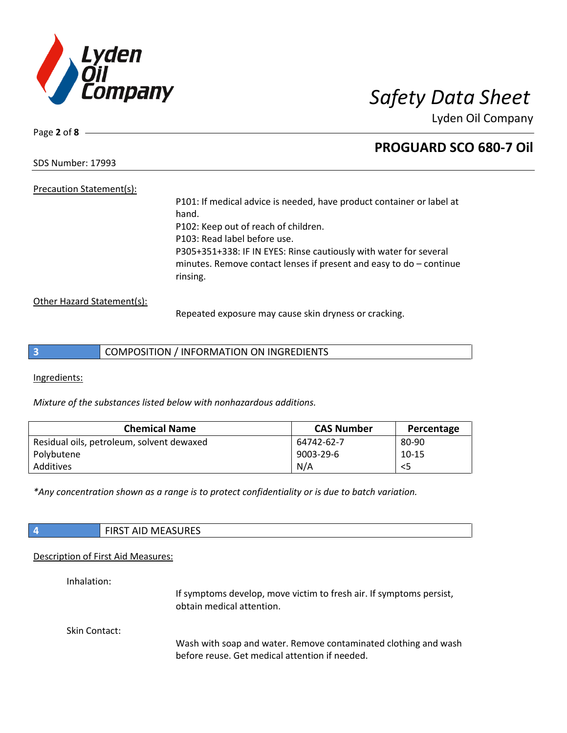

Page **2** of **8**

## **PROGUARD SCO 680-7 Oil**

SDS Number: 17993

## Precaution Statement(s):

P101: If medical advice is needed, have product container or label at hand. P102: Keep out of reach of children. P103: Read label before use. P305+351+338: IF IN EYES: Rinse cautiously with water for several minutes. Remove contact lenses if present and easy to do – continue rinsing.

Other Hazard Statement(s):

Repeated exposure may cause skin dryness or cracking.

| COMPOSITION / INFORMATION ON INGREDIENTS |  |
|------------------------------------------|--|
|------------------------------------------|--|

Ingredients:

*Mixture of the substances listed below with nonhazardous additions.*

| <b>Chemical Name</b>                      | <b>CAS Number</b> | Percentage |
|-------------------------------------------|-------------------|------------|
| Residual oils, petroleum, solvent dewaxed | 64742-62-7        | 80-90      |
| Polybutene                                | 9003-29-6         | 10-15      |
| Additives                                 | N/A               | $<$ 5      |

*\*Any concentration shown as a range is to protect confidentiality or is due to batch variation.*

| <b>FIRST AID MEASURES</b> |
|---------------------------|
|                           |

### Description of First Aid Measures:

Inhalation:

If symptoms develop, move victim to fresh air. If symptoms persist, obtain medical attention.

Skin Contact:

Wash with soap and water. Remove contaminated clothing and wash before reuse. Get medical attention if needed.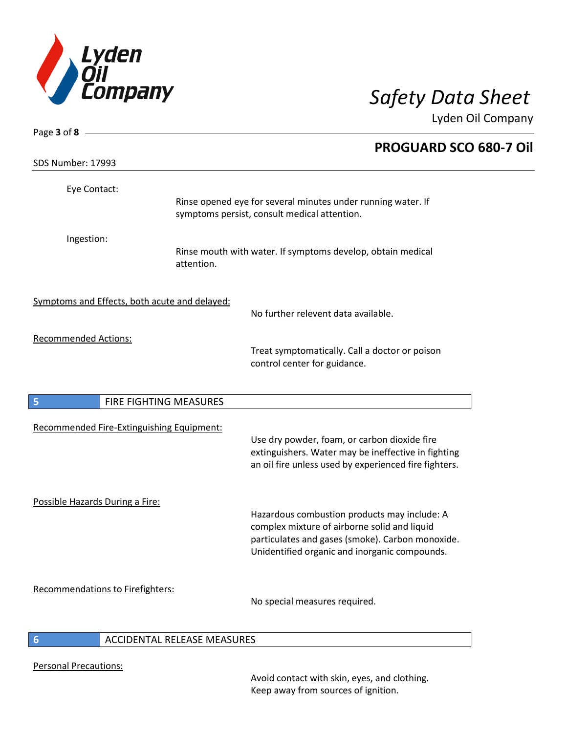

| Page 3 of 8 $\longrightarrow$                 |                             |                                                                                                                                                              |
|-----------------------------------------------|-----------------------------|--------------------------------------------------------------------------------------------------------------------------------------------------------------|
| SDS Number: 17993                             |                             | <b>PROGUARD SCO 680-7 Oil</b>                                                                                                                                |
|                                               |                             |                                                                                                                                                              |
| Eye Contact:                                  |                             | Rinse opened eye for several minutes under running water. If                                                                                                 |
|                                               |                             | symptoms persist, consult medical attention.                                                                                                                 |
| Ingestion:                                    |                             |                                                                                                                                                              |
|                                               | attention.                  | Rinse mouth with water. If symptoms develop, obtain medical                                                                                                  |
| Symptoms and Effects, both acute and delayed: |                             |                                                                                                                                                              |
|                                               |                             | No further relevent data available.                                                                                                                          |
| <b>Recommended Actions:</b>                   |                             |                                                                                                                                                              |
|                                               |                             | Treat symptomatically. Call a doctor or poison<br>control center for guidance.                                                                               |
| 5<br>FIRE FIGHTING MEASURES                   |                             |                                                                                                                                                              |
| Recommended Fire-Extinguishing Equipment:     |                             |                                                                                                                                                              |
|                                               |                             | Use dry powder, foam, or carbon dioxide fire<br>extinguishers. Water may be ineffective in fighting<br>an oil fire unless used by experienced fire fighters. |
| Possible Hazards During a Fire:               |                             | Hazardous combustion products may include: A                                                                                                                 |
|                                               |                             | complex mixture of airborne solid and liquid                                                                                                                 |
|                                               |                             | particulates and gases (smoke). Carbon monoxide.<br>Unidentified organic and inorganic compounds.                                                            |
| <b>Recommendations to Firefighters:</b>       |                             | No special measures required.                                                                                                                                |
|                                               | ACCIDENTAL RELEASE MEASURES |                                                                                                                                                              |

### **6** ACCIDENTAL RELEASE MEASURES

Personal Precautions:

Avoid contact with skin, eyes, and clothing. Keep away from sources of ignition.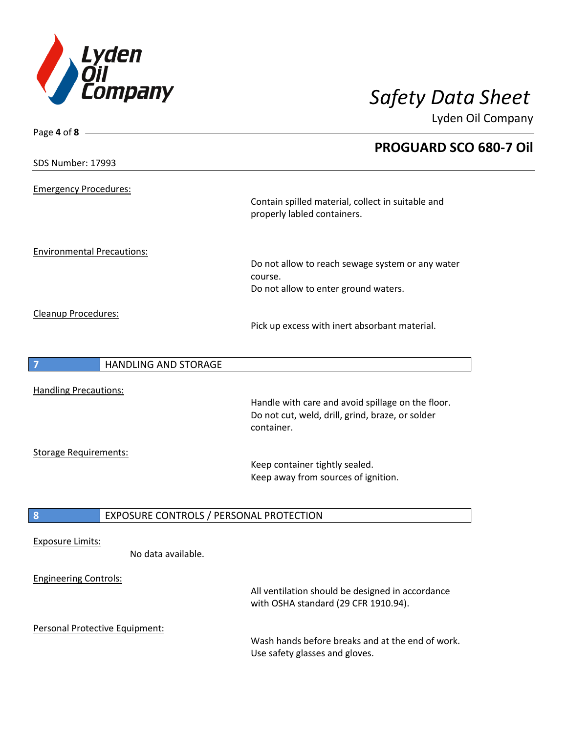

| Page 4 of 8 $-$                   |                                         |                                                                                                                     |  |
|-----------------------------------|-----------------------------------------|---------------------------------------------------------------------------------------------------------------------|--|
|                                   |                                         | <b>PROGUARD SCO 680-7 Oil</b>                                                                                       |  |
| SDS Number: 17993                 |                                         |                                                                                                                     |  |
| <b>Emergency Procedures:</b>      |                                         |                                                                                                                     |  |
|                                   |                                         | Contain spilled material, collect in suitable and<br>properly labled containers.                                    |  |
| <b>Environmental Precautions:</b> |                                         |                                                                                                                     |  |
|                                   |                                         | Do not allow to reach sewage system or any water<br>course.                                                         |  |
|                                   |                                         | Do not allow to enter ground waters.                                                                                |  |
| Cleanup Procedures:               |                                         | Pick up excess with inert absorbant material.                                                                       |  |
| $\overline{7}$                    | <b>HANDLING AND STORAGE</b>             |                                                                                                                     |  |
| <b>Handling Precautions:</b>      |                                         |                                                                                                                     |  |
|                                   |                                         | Handle with care and avoid spillage on the floor.<br>Do not cut, weld, drill, grind, braze, or solder<br>container. |  |
| <b>Storage Requirements:</b>      |                                         |                                                                                                                     |  |
|                                   |                                         | Keep container tightly sealed.<br>Keep away from sources of ignition.                                               |  |
| 8                                 | EXPOSURE CONTROLS / PERSONAL PROTECTION |                                                                                                                     |  |
| <b>Exposure Limits:</b>           |                                         |                                                                                                                     |  |
|                                   | No data available.                      |                                                                                                                     |  |
| <b>Engineering Controls:</b>      |                                         | All ventilation should be designed in accordance<br>with OSHA standard (29 CFR 1910.94).                            |  |
| Personal Protective Equipment:    |                                         | Wash hands before breaks and at the end of work.<br>Use safety glasses and gloves.                                  |  |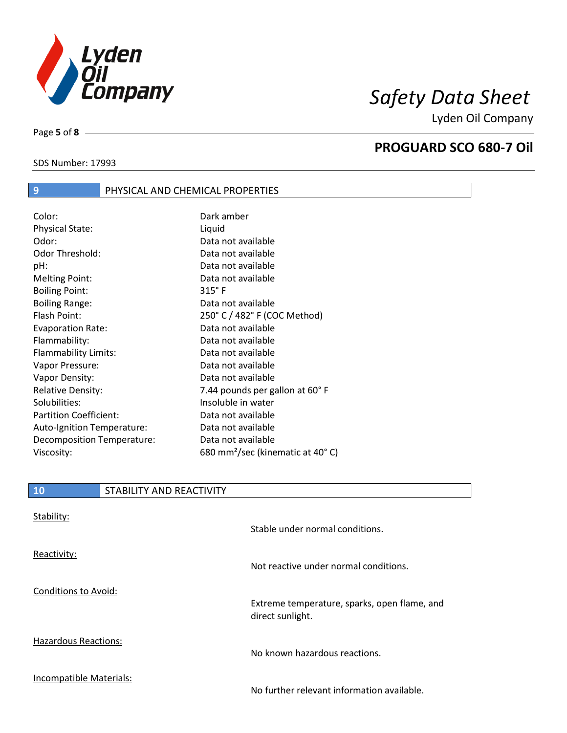

SDS Number: 17993

Page **5** of **8**

## **PROGUARD SCO 680-7 Oil**

# **9** PHYSICAL AND CHEMICAL PROPERTIES

| Color:                        | Dark amber                                   |
|-------------------------------|----------------------------------------------|
| <b>Physical State:</b>        | Liquid                                       |
| Odor:                         | Data not available                           |
| Odor Threshold:               | Data not available                           |
| pH:                           | Data not available                           |
| <b>Melting Point:</b>         | Data not available                           |
| <b>Boiling Point:</b>         | $315°$ F                                     |
| <b>Boiling Range:</b>         | Data not available                           |
| Flash Point:                  | 250° C / 482° F (COC Method)                 |
| <b>Evaporation Rate:</b>      | Data not available                           |
| Flammability:                 | Data not available                           |
| Flammability Limits:          | Data not available                           |
| Vapor Pressure:               | Data not available                           |
| Vapor Density:                | Data not available                           |
| <b>Relative Density:</b>      | 7.44 pounds per gallon at 60°F               |
| Solubilities:                 | Insoluble in water                           |
| <b>Partition Coefficient:</b> | Data not available                           |
| Auto-Ignition Temperature:    | Data not available                           |
| Decomposition Temperature:    | Data not available                           |
| Viscosity:                    | 680 mm <sup>2</sup> /sec (kinematic at 40°C) |

| ി 0 | STABILITY AND REACTIVITY |
|-----|--------------------------|
|     |                          |

| Stability:                  | Stable under normal conditions.                                  |
|-----------------------------|------------------------------------------------------------------|
| Reactivity:                 | Not reactive under normal conditions.                            |
| Conditions to Avoid:        | Extreme temperature, sparks, open flame, and<br>direct sunlight. |
| <b>Hazardous Reactions:</b> | No known hazardous reactions.                                    |
| Incompatible Materials:     | No further relevant information available.                       |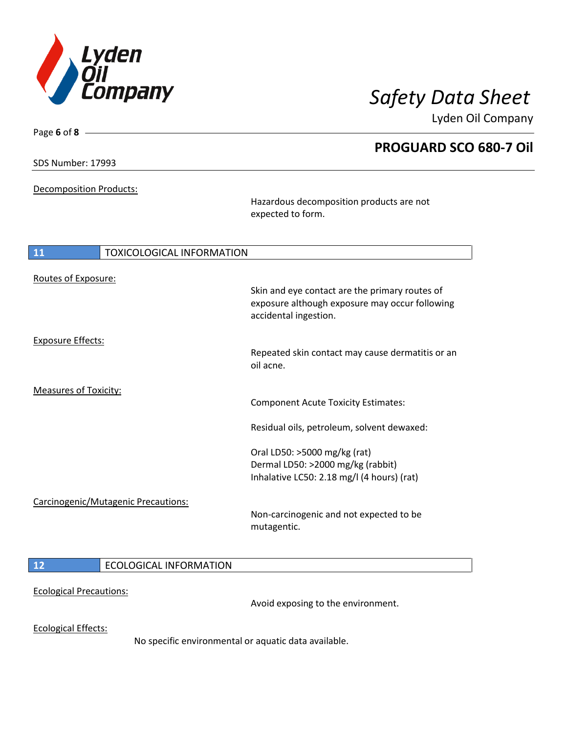

**PROGUARD SCO 680-7 Oil**

Lyden Oil Company

SDS Number: 17993

Page **6** of **8**

Decomposition Products:

Hazardous decomposition products are not expected to form.

| 11                           | <b>TOXICOLOGICAL INFORMATION</b>    |                                                                                                                                                                                                             |
|------------------------------|-------------------------------------|-------------------------------------------------------------------------------------------------------------------------------------------------------------------------------------------------------------|
| Routes of Exposure:          |                                     | Skin and eye contact are the primary routes of<br>exposure although exposure may occur following<br>accidental ingestion.                                                                                   |
| <b>Exposure Effects:</b>     |                                     | Repeated skin contact may cause dermatitis or an<br>oil acne.                                                                                                                                               |
| <b>Measures of Toxicity:</b> |                                     | <b>Component Acute Toxicity Estimates:</b><br>Residual oils, petroleum, solvent dewaxed:<br>Oral LD50: >5000 mg/kg (rat)<br>Dermal LD50: >2000 mg/kg (rabbit)<br>Inhalative LC50: 2.18 mg/l (4 hours) (rat) |
|                              | Carcinogenic/Mutagenic Precautions: | Non-carcinogenic and not expected to be<br>mutagentic.                                                                                                                                                      |
| 12                           | <b>ECOLOGICAL INFORMATION</b>       |                                                                                                                                                                                                             |

### Ecological Precautions:

Avoid exposing to the environment.

Ecological Effects:

No specific environmental or aquatic data available.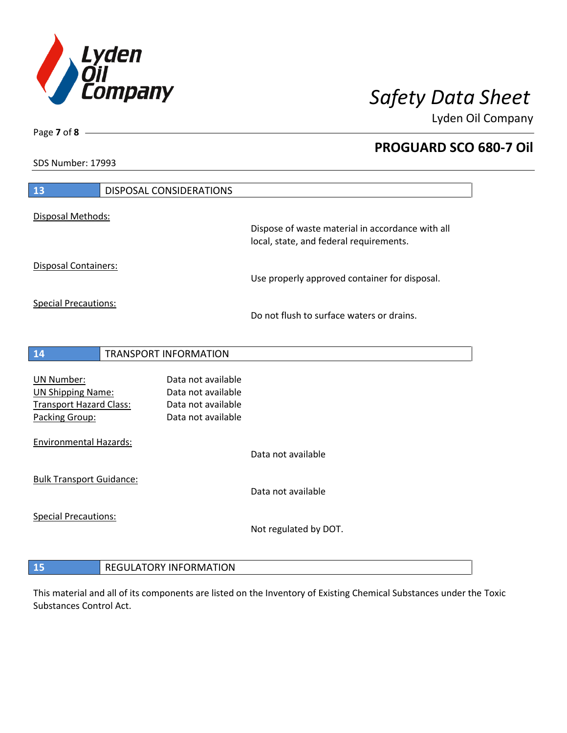

**PROGUARD SCO 680-7 Oil**

Lyden Oil Company

SDS Number: 17993

| 13                                  |  | <b>DISPOSAL CONSIDERATIONS</b> |                                                                                             |
|-------------------------------------|--|--------------------------------|---------------------------------------------------------------------------------------------|
| Disposal Methods:                   |  |                                |                                                                                             |
|                                     |  |                                | Dispose of waste material in accordance with all<br>local, state, and federal requirements. |
| Disposal Containers:                |  |                                | Use properly approved container for disposal.                                               |
| <b>Special Precautions:</b>         |  |                                | Do not flush to surface waters or drains.                                                   |
| 14                                  |  | TRANSPORT INFORMATION          |                                                                                             |
| <b>UN Number:</b>                   |  | Data not available             |                                                                                             |
| <b>UN Shipping Name:</b>            |  | Data not available             |                                                                                             |
| <b>Transport Hazard Class:</b>      |  | Data not available             |                                                                                             |
| Packing Group:                      |  | Data not available             |                                                                                             |
| <b>Environmental Hazards:</b>       |  |                                |                                                                                             |
|                                     |  |                                | Data not available                                                                          |
| <b>Bulk Transport Guidance:</b>     |  |                                |                                                                                             |
|                                     |  |                                | Data not available                                                                          |
| <b>Special Precautions:</b>         |  |                                |                                                                                             |
|                                     |  |                                | Not regulated by DOT.                                                                       |
|                                     |  |                                |                                                                                             |
| 15<br><b>REGULATORY INFORMATION</b> |  |                                |                                                                                             |

This material and all of its components are listed on the Inventory of Existing Chemical Substances under the Toxic Substances Control Act.